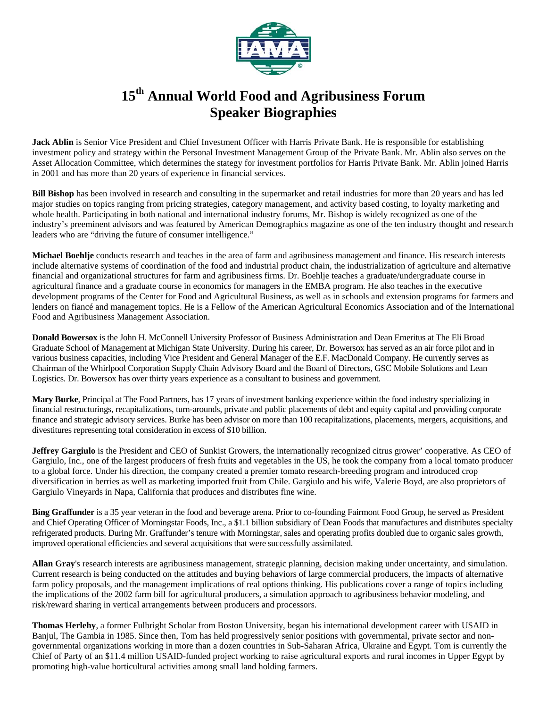

## **15th Annual World Food and Agribusiness Forum Speaker Biographies**

**Jack Ablin** is Senior Vice President and Chief Investment Officer with Harris Private Bank. He is responsible for establishing investment policy and strategy within the Personal Investment Management Group of the Private Bank. Mr. Ablin also serves on the Asset Allocation Committee, which determines the stategy for investment portfolios for Harris Private Bank. Mr. Ablin joined Harris in 2001 and has more than 20 years of experience in financial services.

**Bill Bishop** has been involved in research and consulting in the supermarket and retail industries for more than 20 years and has led major studies on topics ranging from pricing strategies, category management, and activity based costing, to loyalty marketing and whole health. Participating in both national and international industry forums, Mr. Bishop is widely recognized as one of the industry's preeminent advisors and was featured by American Demographics magazine as one of the ten industry thought and research leaders who are "driving the future of consumer intelligence."

**Michael Boehlje** conducts research and teaches in the area of farm and agribusiness management and finance. His research interests include alternative systems of coordination of the food and industrial product chain, the industrialization of agriculture and alternative financial and organizational structures for farm and agribusiness firms. Dr. Boehlje teaches a graduate/undergraduate course in agricultural finance and a graduate course in economics for managers in the EMBA program. He also teaches in the executive development programs of the Center for Food and Agricultural Business, as well as in schools and extension programs for farmers and lenders on fiancé and management topics. He is a Fellow of the American Agricultural Economics Association and of the International Food and Agribusiness Management Association.

**Donald Bowersox** is the John H. McConnell University Professor of Business Administration and Dean Emeritus at The Eli Broad Graduate School of Management at Michigan State University. During his career, Dr. Bowersox has served as an air force pilot and in various business capacities, including Vice President and General Manager of the E.F. MacDonald Company. He currently serves as Chairman of the Whirlpool Corporation Supply Chain Advisory Board and the Board of Directors, GSC Mobile Solutions and Lean Logistics. Dr. Bowersox has over thirty years experience as a consultant to business and government.

**Mary Burke**, Principal at The Food Partners, has 17 years of investment banking experience within the food industry specializing in financial restructurings, recapitalizations, turn-arounds, private and public placements of debt and equity capital and providing corporate finance and strategic advisory services. Burke has been advisor on more than 100 recapitalizations, placements, mergers, acquisitions, and divestitures representing total consideration in excess of \$10 billion.

**Jeffrey Gargiulo** is the President and CEO of Sunkist Growers, the internationally recognized citrus grower' cooperative. As CEO of Gargiulo, Inc., one of the largest producers of fresh fruits and vegetables in the US, he took the company from a local tomato producer to a global force. Under his direction, the company created a premier tomato research-breeding program and introduced crop diversification in berries as well as marketing imported fruit from Chile. Gargiulo and his wife, Valerie Boyd, are also proprietors of Gargiulo Vineyards in Napa, California that produces and distributes fine wine.

**Bing Graffunder** is a 35 year veteran in the food and beverage arena. Prior to co-founding Fairmont Food Group, he served as President and Chief Operating Officer of Morningstar Foods, Inc., a \$1.1 billion subsidiary of Dean Foods that manufactures and distributes specialty refrigerated products. During Mr. Graffunder's tenure with Morningstar, sales and operating profits doubled due to organic sales growth, improved operational efficiencies and several acquisitions that were successfully assimilated.

**Allan Gray**'s research interests are agribusiness management, strategic planning, decision making under uncertainty, and simulation. Current research is being conducted on the attitudes and buying behaviors of large commercial producers, the impacts of alternative farm policy proposals, and the management implications of real options thinking. His publications cover a range of topics including the implications of the 2002 farm bill for agricultural producers, a simulation approach to agribusiness behavior modeling, and risk/reward sharing in vertical arrangements between producers and processors.

**Thomas Herlehy**, a former Fulbright Scholar from Boston University, began his international development career with USAID in Banjul, The Gambia in 1985. Since then, Tom has held progressively senior positions with governmental, private sector and nongovernmental organizations working in more than a dozen countries in Sub-Saharan Africa, Ukraine and Egypt. Tom is currently the Chief of Party of an \$11.4 million USAID-funded project working to raise agricultural exports and rural incomes in Upper Egypt by promoting high-value horticultural activities among small land holding farmers.